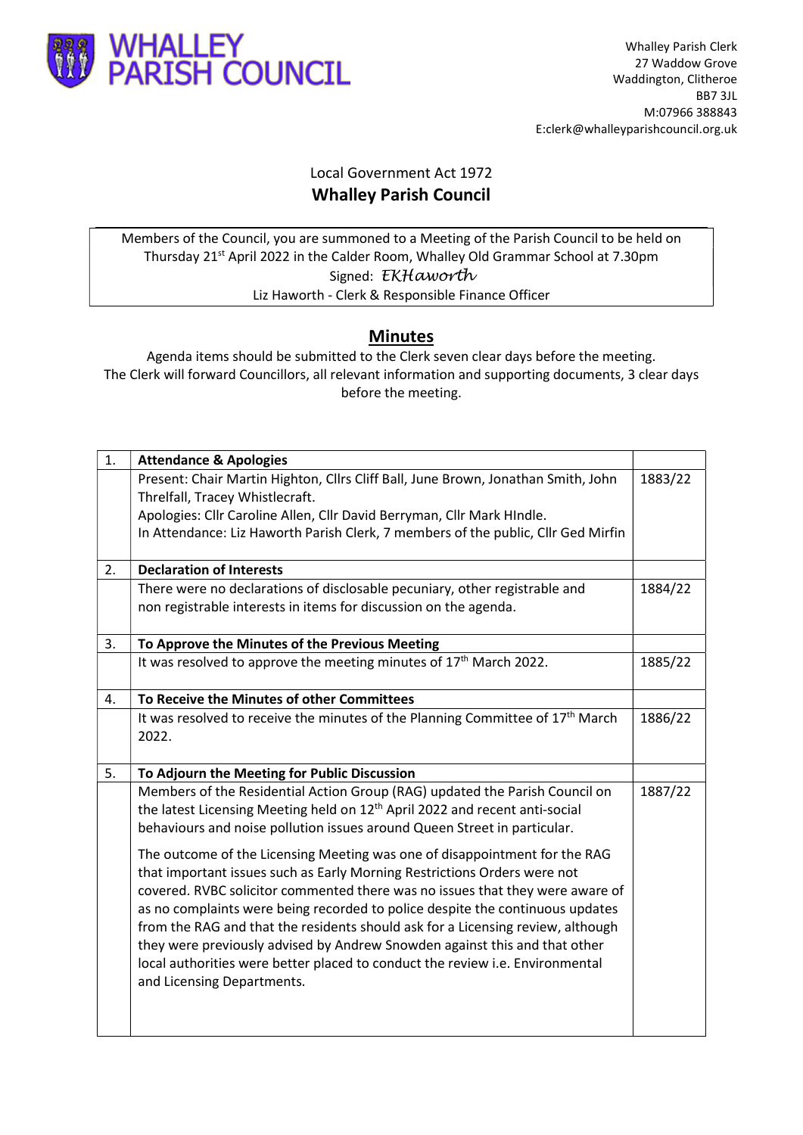

## Local Government Act 1972 Whalley Parish Council

Members of the Council, you are summoned to a Meeting of the Parish Council to be held on Thursday 21st April 2022 in the Calder Room, Whalley Old Grammar School at 7.30pm Signed: EKHaworth Liz Haworth - Clerk & Responsible Finance Officer

## Minutes

Agenda items should be submitted to the Clerk seven clear days before the meeting. The Clerk will forward Councillors, all relevant information and supporting documents, 3 clear days before the meeting.

| 1. | <b>Attendance &amp; Apologies</b>                                                          |         |
|----|--------------------------------------------------------------------------------------------|---------|
|    | Present: Chair Martin Highton, Cllrs Cliff Ball, June Brown, Jonathan Smith, John          | 1883/22 |
|    | Threlfall, Tracey Whistlecraft.                                                            |         |
|    | Apologies: Cllr Caroline Allen, Cllr David Berryman, Cllr Mark HIndle.                     |         |
|    | In Attendance: Liz Haworth Parish Clerk, 7 members of the public, Cllr Ged Mirfin          |         |
|    |                                                                                            |         |
| 2. | <b>Declaration of Interests</b>                                                            |         |
|    | There were no declarations of disclosable pecuniary, other registrable and                 | 1884/22 |
|    | non registrable interests in items for discussion on the agenda.                           |         |
| 3. | To Approve the Minutes of the Previous Meeting                                             |         |
|    | It was resolved to approve the meeting minutes of 17 <sup>th</sup> March 2022.             | 1885/22 |
|    |                                                                                            |         |
| 4. | To Receive the Minutes of other Committees                                                 |         |
|    | It was resolved to receive the minutes of the Planning Committee of 17 <sup>th</sup> March | 1886/22 |
|    | 2022.                                                                                      |         |
| 5. | To Adjourn the Meeting for Public Discussion                                               |         |
|    | Members of the Residential Action Group (RAG) updated the Parish Council on                | 1887/22 |
|    | the latest Licensing Meeting held on 12 <sup>th</sup> April 2022 and recent anti-social    |         |
|    | behaviours and noise pollution issues around Queen Street in particular.                   |         |
|    | The outcome of the Licensing Meeting was one of disappointment for the RAG                 |         |
|    | that important issues such as Early Morning Restrictions Orders were not                   |         |
|    | covered. RVBC solicitor commented there was no issues that they were aware of              |         |
|    | as no complaints were being recorded to police despite the continuous updates              |         |
|    | from the RAG and that the residents should ask for a Licensing review, although            |         |
|    | they were previously advised by Andrew Snowden against this and that other                 |         |
|    | local authorities were better placed to conduct the review i.e. Environmental              |         |
|    | and Licensing Departments.                                                                 |         |
|    |                                                                                            |         |
|    |                                                                                            |         |
|    |                                                                                            |         |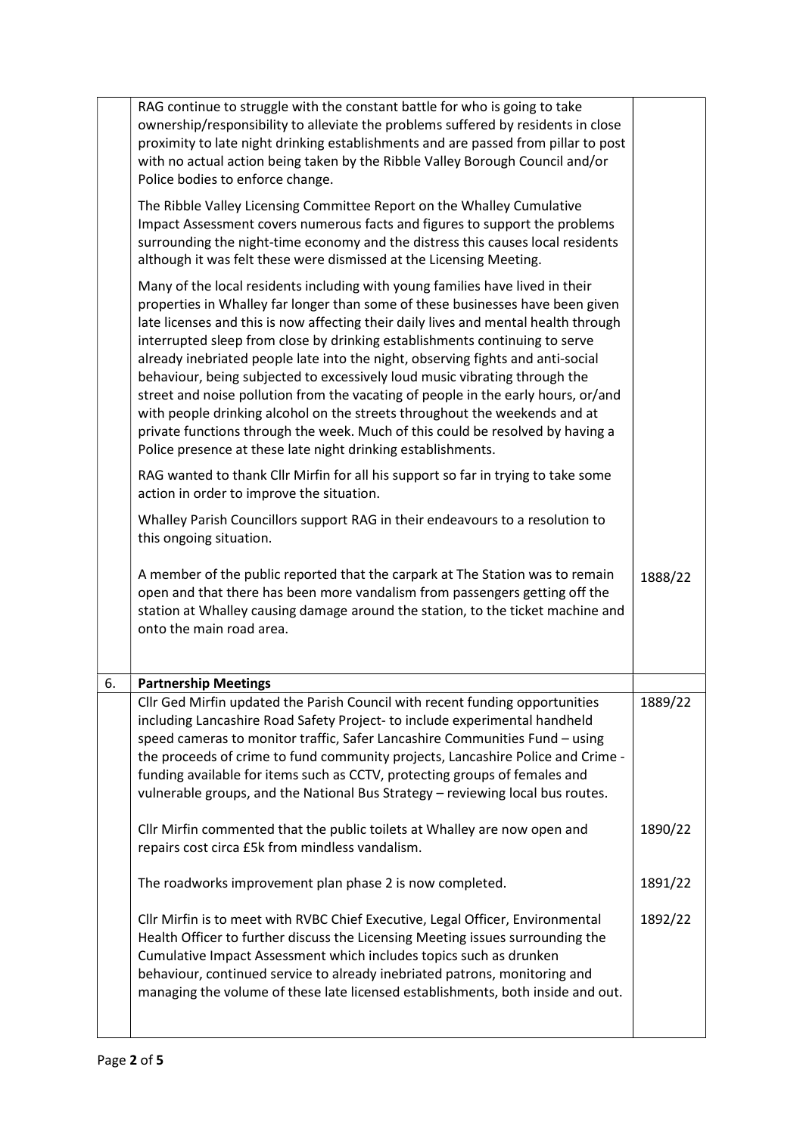|    | RAG continue to struggle with the constant battle for who is going to take<br>ownership/responsibility to alleviate the problems suffered by residents in close<br>proximity to late night drinking establishments and are passed from pillar to post<br>with no actual action being taken by the Ribble Valley Borough Council and/or<br>Police bodies to enforce change.                                                                                                                                                                                                                                                                                                                                                                                                                                                  |         |
|----|-----------------------------------------------------------------------------------------------------------------------------------------------------------------------------------------------------------------------------------------------------------------------------------------------------------------------------------------------------------------------------------------------------------------------------------------------------------------------------------------------------------------------------------------------------------------------------------------------------------------------------------------------------------------------------------------------------------------------------------------------------------------------------------------------------------------------------|---------|
|    | The Ribble Valley Licensing Committee Report on the Whalley Cumulative<br>Impact Assessment covers numerous facts and figures to support the problems<br>surrounding the night-time economy and the distress this causes local residents<br>although it was felt these were dismissed at the Licensing Meeting.                                                                                                                                                                                                                                                                                                                                                                                                                                                                                                             |         |
|    | Many of the local residents including with young families have lived in their<br>properties in Whalley far longer than some of these businesses have been given<br>late licenses and this is now affecting their daily lives and mental health through<br>interrupted sleep from close by drinking establishments continuing to serve<br>already inebriated people late into the night, observing fights and anti-social<br>behaviour, being subjected to excessively loud music vibrating through the<br>street and noise pollution from the vacating of people in the early hours, or/and<br>with people drinking alcohol on the streets throughout the weekends and at<br>private functions through the week. Much of this could be resolved by having a<br>Police presence at these late night drinking establishments. |         |
|    | RAG wanted to thank Cllr Mirfin for all his support so far in trying to take some<br>action in order to improve the situation.                                                                                                                                                                                                                                                                                                                                                                                                                                                                                                                                                                                                                                                                                              |         |
|    | Whalley Parish Councillors support RAG in their endeavours to a resolution to<br>this ongoing situation.                                                                                                                                                                                                                                                                                                                                                                                                                                                                                                                                                                                                                                                                                                                    |         |
|    | A member of the public reported that the carpark at The Station was to remain<br>open and that there has been more vandalism from passengers getting off the<br>station at Whalley causing damage around the station, to the ticket machine and<br>onto the main road area.                                                                                                                                                                                                                                                                                                                                                                                                                                                                                                                                                 | 1888/22 |
| 6. | <b>Partnership Meetings</b>                                                                                                                                                                                                                                                                                                                                                                                                                                                                                                                                                                                                                                                                                                                                                                                                 |         |
|    | Cllr Ged Mirfin updated the Parish Council with recent funding opportunities<br>including Lancashire Road Safety Project- to include experimental handheld<br>speed cameras to monitor traffic, Safer Lancashire Communities Fund - using<br>the proceeds of crime to fund community projects, Lancashire Police and Crime -<br>funding available for items such as CCTV, protecting groups of females and<br>vulnerable groups, and the National Bus Strategy - reviewing local bus routes.                                                                                                                                                                                                                                                                                                                                | 1889/22 |
|    | Cllr Mirfin commented that the public toilets at Whalley are now open and<br>repairs cost circa £5k from mindless vandalism.                                                                                                                                                                                                                                                                                                                                                                                                                                                                                                                                                                                                                                                                                                | 1890/22 |
|    | The roadworks improvement plan phase 2 is now completed.                                                                                                                                                                                                                                                                                                                                                                                                                                                                                                                                                                                                                                                                                                                                                                    | 1891/22 |
|    | Cllr Mirfin is to meet with RVBC Chief Executive, Legal Officer, Environmental<br>Health Officer to further discuss the Licensing Meeting issues surrounding the<br>Cumulative Impact Assessment which includes topics such as drunken<br>behaviour, continued service to already inebriated patrons, monitoring and<br>managing the volume of these late licensed establishments, both inside and out.                                                                                                                                                                                                                                                                                                                                                                                                                     | 1892/22 |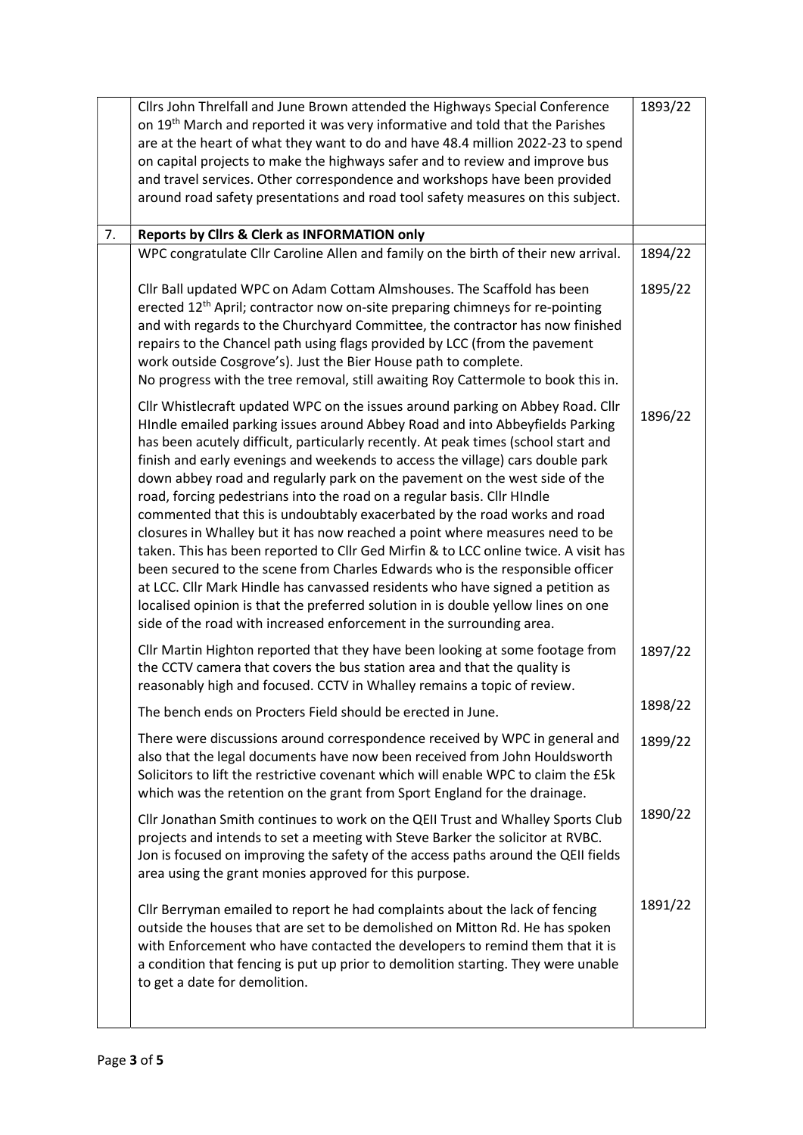|    | Cllrs John Threlfall and June Brown attended the Highways Special Conference                                                                              | 1893/22 |
|----|-----------------------------------------------------------------------------------------------------------------------------------------------------------|---------|
|    | on 19 <sup>th</sup> March and reported it was very informative and told that the Parishes                                                                 |         |
|    | are at the heart of what they want to do and have 48.4 million 2022-23 to spend                                                                           |         |
|    | on capital projects to make the highways safer and to review and improve bus                                                                              |         |
|    | and travel services. Other correspondence and workshops have been provided                                                                                |         |
|    | around road safety presentations and road tool safety measures on this subject.                                                                           |         |
|    |                                                                                                                                                           |         |
| 7. | Reports by Clirs & Clerk as INFORMATION only                                                                                                              |         |
|    | WPC congratulate Cllr Caroline Allen and family on the birth of their new arrival.                                                                        | 1894/22 |
|    | Cllr Ball updated WPC on Adam Cottam Almshouses. The Scaffold has been                                                                                    | 1895/22 |
|    | erected 12 <sup>th</sup> April; contractor now on-site preparing chimneys for re-pointing                                                                 |         |
|    | and with regards to the Churchyard Committee, the contractor has now finished                                                                             |         |
|    | repairs to the Chancel path using flags provided by LCC (from the pavement                                                                                |         |
|    | work outside Cosgrove's). Just the Bier House path to complete.                                                                                           |         |
|    | No progress with the tree removal, still awaiting Roy Cattermole to book this in.                                                                         |         |
|    | Cllr Whistlecraft updated WPC on the issues around parking on Abbey Road. Cllr                                                                            |         |
|    | HIndle emailed parking issues around Abbey Road and into Abbeyfields Parking                                                                              | 1896/22 |
|    | has been acutely difficult, particularly recently. At peak times (school start and                                                                        |         |
|    | finish and early evenings and weekends to access the village) cars double park                                                                            |         |
|    | down abbey road and regularly park on the pavement on the west side of the                                                                                |         |
|    | road, forcing pedestrians into the road on a regular basis. Cllr HIndle                                                                                   |         |
|    | commented that this is undoubtably exacerbated by the road works and road                                                                                 |         |
|    | closures in Whalley but it has now reached a point where measures need to be                                                                              |         |
|    | taken. This has been reported to Cllr Ged Mirfin & to LCC online twice. A visit has                                                                       |         |
|    | been secured to the scene from Charles Edwards who is the responsible officer                                                                             |         |
|    | at LCC. Cllr Mark Hindle has canvassed residents who have signed a petition as                                                                            |         |
|    | localised opinion is that the preferred solution in is double yellow lines on one<br>side of the road with increased enforcement in the surrounding area. |         |
|    |                                                                                                                                                           |         |
|    | Cllr Martin Highton reported that they have been looking at some footage from                                                                             | 1897/22 |
|    | the CCTV camera that covers the bus station area and that the quality is                                                                                  |         |
|    | reasonably high and focused. CCTV in Whalley remains a topic of review.                                                                                   | 1898/22 |
|    | The bench ends on Procters Field should be erected in June.                                                                                               |         |
|    | There were discussions around correspondence received by WPC in general and                                                                               | 1899/22 |
|    | also that the legal documents have now been received from John Houldsworth                                                                                |         |
|    | Solicitors to lift the restrictive covenant which will enable WPC to claim the £5k                                                                        |         |
|    | which was the retention on the grant from Sport England for the drainage.                                                                                 |         |
|    | Cllr Jonathan Smith continues to work on the QEII Trust and Whalley Sports Club                                                                           | 1890/22 |
|    | projects and intends to set a meeting with Steve Barker the solicitor at RVBC.                                                                            |         |
|    | Jon is focused on improving the safety of the access paths around the QEII fields                                                                         |         |
|    | area using the grant monies approved for this purpose.                                                                                                    |         |
|    | Cllr Berryman emailed to report he had complaints about the lack of fencing                                                                               | 1891/22 |
|    | outside the houses that are set to be demolished on Mitton Rd. He has spoken                                                                              |         |
|    | with Enforcement who have contacted the developers to remind them that it is                                                                              |         |
|    | a condition that fencing is put up prior to demolition starting. They were unable                                                                         |         |
|    | to get a date for demolition.                                                                                                                             |         |
|    |                                                                                                                                                           |         |
|    |                                                                                                                                                           |         |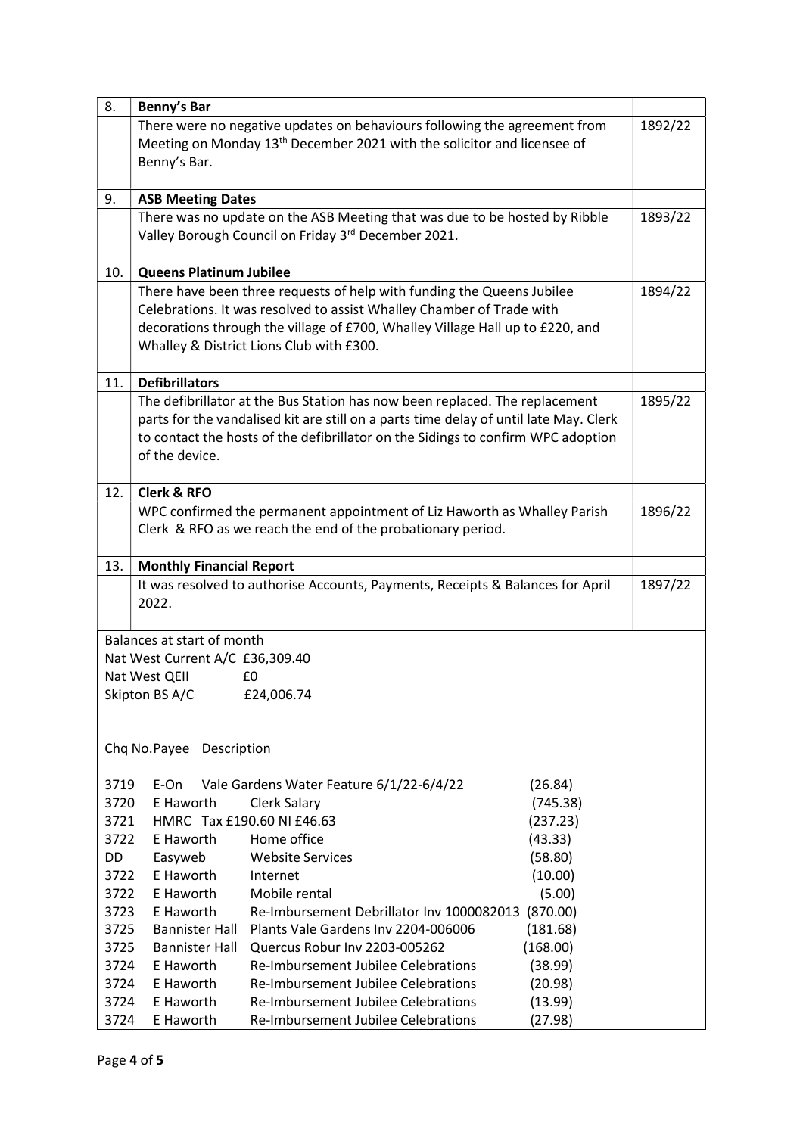| 8.           | Benny's Bar                                                                    |                                                                                                  |         |  |  |
|--------------|--------------------------------------------------------------------------------|--------------------------------------------------------------------------------------------------|---------|--|--|
|              | There were no negative updates on behaviours following the agreement from      |                                                                                                  |         |  |  |
|              |                                                                                | Meeting on Monday 13 <sup>th</sup> December 2021 with the solicitor and licensee of              |         |  |  |
|              | Benny's Bar.                                                                   |                                                                                                  |         |  |  |
|              |                                                                                |                                                                                                  |         |  |  |
| 9.           | <b>ASB Meeting Dates</b>                                                       |                                                                                                  |         |  |  |
|              | There was no update on the ASB Meeting that was due to be hosted by Ribble     |                                                                                                  |         |  |  |
|              | Valley Borough Council on Friday 3rd December 2021.                            |                                                                                                  |         |  |  |
|              |                                                                                |                                                                                                  |         |  |  |
| 10.          | <b>Queens Platinum Jubilee</b>                                                 |                                                                                                  |         |  |  |
|              | There have been three requests of help with funding the Queens Jubilee         |                                                                                                  |         |  |  |
|              | Celebrations. It was resolved to assist Whalley Chamber of Trade with          |                                                                                                  |         |  |  |
|              | decorations through the village of £700, Whalley Village Hall up to £220, and  |                                                                                                  |         |  |  |
|              | Whalley & District Lions Club with £300.                                       |                                                                                                  |         |  |  |
| 11.          | <b>Defibrillators</b>                                                          |                                                                                                  |         |  |  |
|              |                                                                                | The defibrillator at the Bus Station has now been replaced. The replacement                      | 1895/22 |  |  |
|              |                                                                                | parts for the vandalised kit are still on a parts time delay of until late May. Clerk            |         |  |  |
|              |                                                                                | to contact the hosts of the defibrillator on the Sidings to confirm WPC adoption                 |         |  |  |
|              | of the device.                                                                 |                                                                                                  |         |  |  |
|              |                                                                                |                                                                                                  |         |  |  |
| 12.          | <b>Clerk &amp; RFO</b>                                                         |                                                                                                  | 1896/22 |  |  |
|              | WPC confirmed the permanent appointment of Liz Haworth as Whalley Parish       |                                                                                                  |         |  |  |
|              |                                                                                | Clerk & RFO as we reach the end of the probationary period.                                      |         |  |  |
|              |                                                                                |                                                                                                  |         |  |  |
| 13.          | <b>Monthly Financial Report</b>                                                |                                                                                                  |         |  |  |
|              | It was resolved to authorise Accounts, Payments, Receipts & Balances for April |                                                                                                  | 1897/22 |  |  |
|              | 2022.                                                                          |                                                                                                  |         |  |  |
|              | Balances at start of month                                                     |                                                                                                  |         |  |  |
|              | Nat West Current A/C £36,309.40                                                |                                                                                                  |         |  |  |
|              | Nat West QEII                                                                  | £0                                                                                               |         |  |  |
|              | Skipton BS A/C                                                                 | £24,006.74                                                                                       |         |  |  |
|              |                                                                                |                                                                                                  |         |  |  |
|              |                                                                                |                                                                                                  |         |  |  |
|              | Chq No. Payee Description                                                      |                                                                                                  |         |  |  |
|              |                                                                                |                                                                                                  |         |  |  |
| 3719         | E-On                                                                           | Vale Gardens Water Feature 6/1/22-6/4/22<br>(26.84)                                              |         |  |  |
| 3720         | E Haworth                                                                      | (745.38)<br><b>Clerk Salary</b>                                                                  |         |  |  |
| 3721         |                                                                                | HMRC Tax £190.60 NI £46.63<br>(237.23)                                                           |         |  |  |
| 3722         | E Haworth                                                                      | Home office<br>(43.33)                                                                           |         |  |  |
| <b>DD</b>    | Easyweb                                                                        | <b>Website Services</b><br>(58.80)                                                               |         |  |  |
| 3722         | E Haworth                                                                      | (10.00)<br>Internet                                                                              |         |  |  |
| 3722         | E Haworth                                                                      | (5.00)<br>Mobile rental                                                                          |         |  |  |
| 3723         | E Haworth                                                                      | Re-Imbursement Debrillator Inv 1000082013<br>(870.00)                                            |         |  |  |
| 3725         | <b>Bannister Hall</b>                                                          | Plants Vale Gardens Inv 2204-006006<br>(181.68)                                                  |         |  |  |
| 3725         | <b>Bannister Hall</b>                                                          | Quercus Robur Inv 2203-005262<br>(168.00)                                                        |         |  |  |
| 3724<br>3724 | E Haworth<br>E Haworth                                                         | Re-Imbursement Jubilee Celebrations<br>(38.99)<br>Re-Imbursement Jubilee Celebrations<br>(20.98) |         |  |  |
| 3724         | E Haworth                                                                      | Re-Imbursement Jubilee Celebrations<br>(13.99)                                                   |         |  |  |
| 3724         | E Haworth                                                                      | Re-Imbursement Jubilee Celebrations<br>(27.98)                                                   |         |  |  |
|              |                                                                                |                                                                                                  |         |  |  |